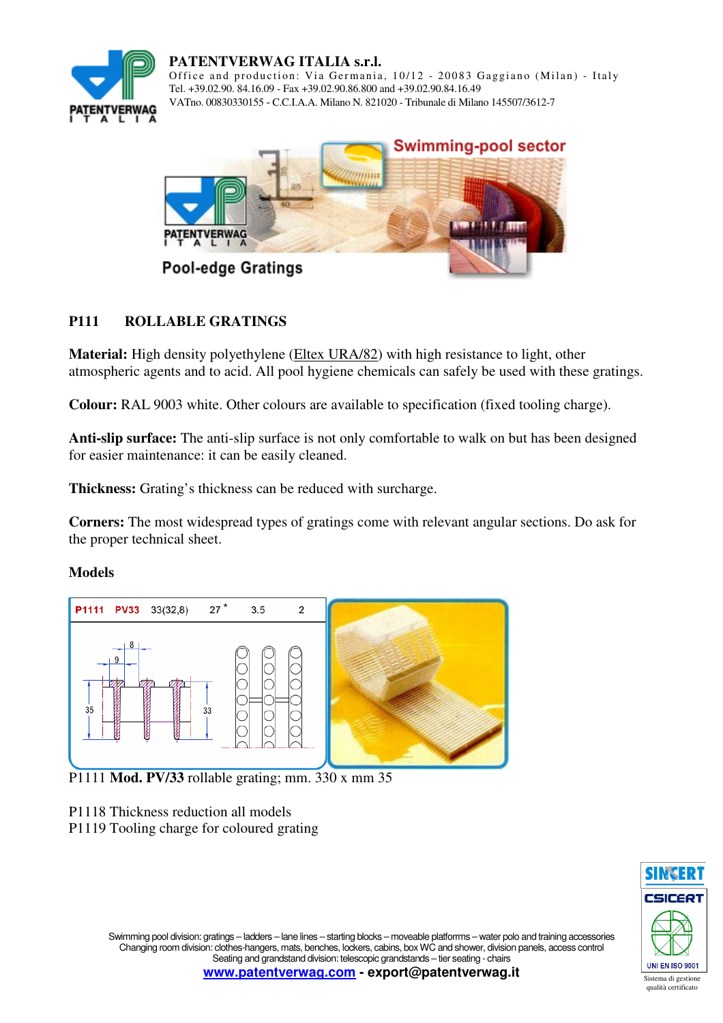

**PATENTVERWAG ITALIA s.r.l.**  Office and production: Via Germania, 10/12 - 20083 Gaggiano (Milan) - Italy Tel. +39.02.90. 84.16.09 - Fax +39.02.90.86.800 and +39.02.90.84.16.49 VATno. 00830330155 - C.C.I.A.A. Milano N. 821020 - Tribunale di Milano 145507/3612-7



# **P111 ROLLABLE GRATINGS**

**Material:** High density polyethylene (Eltex URA/82) with high resistance to light, other atmospheric agents and to acid. All pool hygiene chemicals can safely be used with these gratings.

**Colour:** RAL 9003 white. Other colours are available to specification (fixed tooling charge).

**Anti-slip surface:** The anti-slip surface is not only comfortable to walk on but has been designed for easier maintenance: it can be easily cleaned.

**Thickness:** Grating's thickness can be reduced with surcharge.

**Corners:** The most widespread types of gratings come with relevant angular sections. Do ask for the proper technical sheet.

#### **Models**



P1111 **Mod. PV/33** rollable grating; mm. 330 x mm 35

P1118 Thickness reduction all models

P1119 Tooling charge for coloured grating

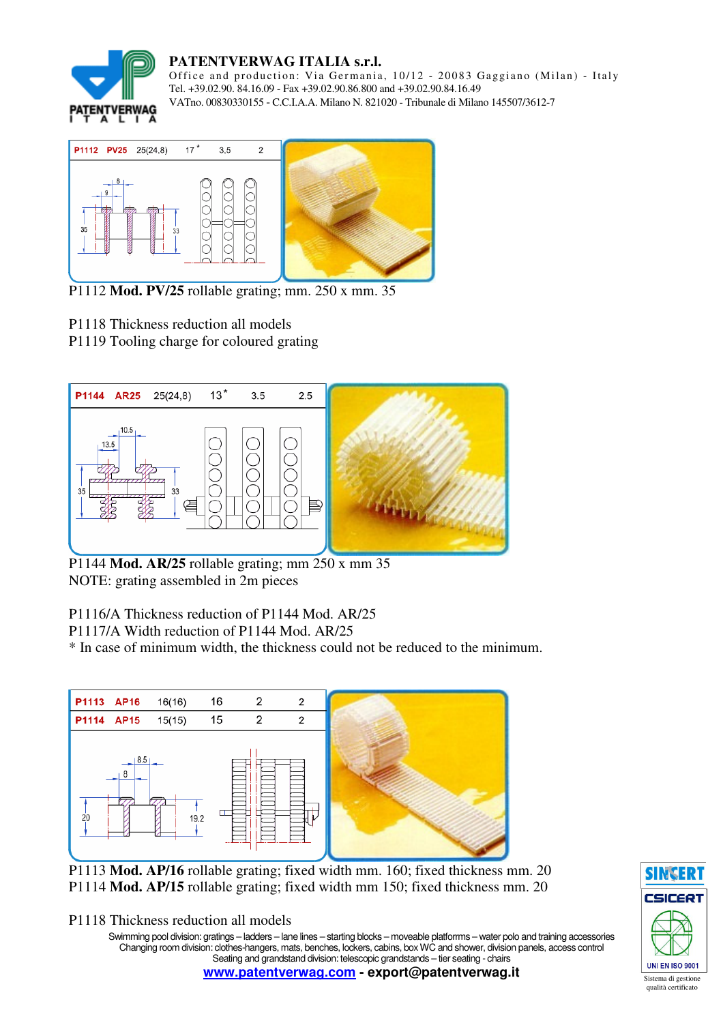

# **PATENTVERWAG ITALIA s.r.l.**

Office and production: Via Germania, 10/12 - 20083 Gaggiano (Milan) - Italy Tel. +39.02.90. 84.16.09 - Fax +39.02.90.86.800 and +39.02.90.84.16.49 VATno. 00830330155 - C.C.I.A.A. Milano N. 821020 - Tribunale di Milano 145507/3612-7



P1112 **Mod. PV/25** rollable grating; mm. 250 x mm. 35

- P1118 Thickness reduction all models
- P1119 Tooling charge for coloured grating



P1144 **Mod. AR/25** rollable grating; mm 250 x mm 35 NOTE: grating assembled in 2m pieces

P1116/A Thickness reduction of P1144 Mod. AR/25

P1117/A Width reduction of P1144 Mod. AR/25

\* In case of minimum width, the thickness could not be reduced to the minimum.



P1113 **Mod. AP/16** rollable grating; fixed width mm. 160; fixed thickness mm. 20 P1114 **Mod. AP/15** rollable grating; fixed width mm 150; fixed thickness mm. 20

P1118 Thickness reduction all models

Swimming pool division: gratings – ladders – lane lines – starting blocks – moveable platforrms – water polo and training accessories Changing room division: clothes-hangers, mats, benches, lockers, cabins, box WC and shower, division panels, access control Seating and grandstand division: telescopic grandstands – tier seating - chairs

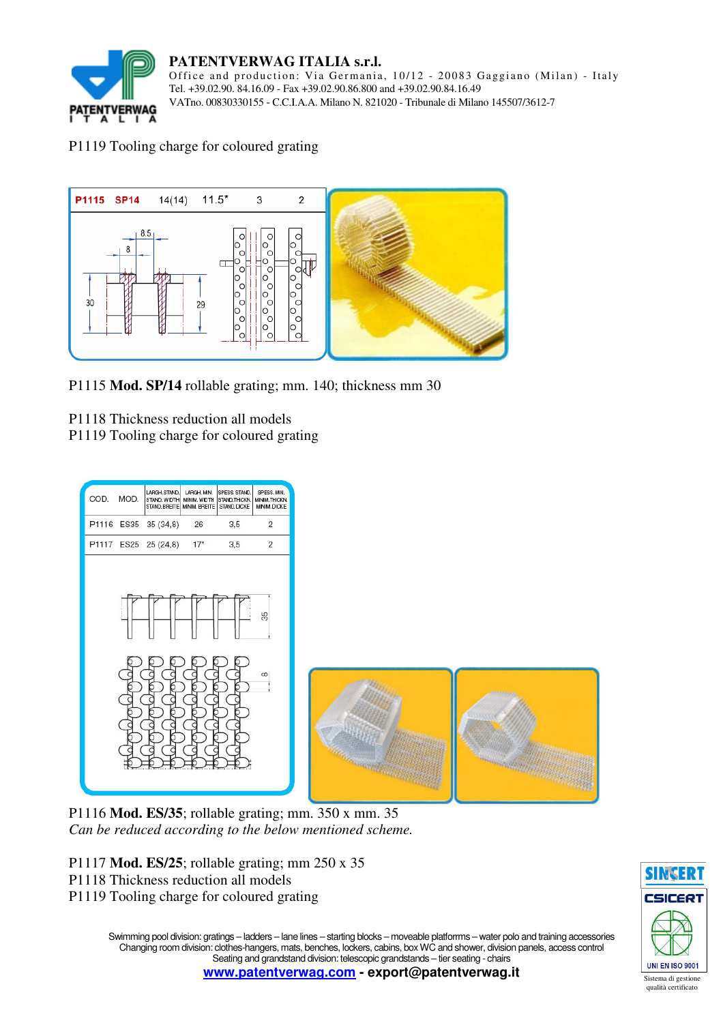

#### **PATENTVERWAG ITALIA s.r.l.**

Office and production: Via Germania, 10/12 - 20083 Gaggiano (Milan) - Italy Tel. +39.02.90. 84.16.09 - Fax +39.02.90.86.800 and +39.02.90.84.16.49 VATno. 00830330155 - C.C.I.A.A. Milano N. 821020 - Tribunale di Milano 145507/3612-7

### P1119 Tooling charge for coloured grating



P1115 **Mod. SP/14** rollable grating; mm. 140; thickness mm 30

- P1118 Thickness reduction all models
- P1119 Tooling charge for coloured grating



P1116 **Mod. ES/35**; rollable grating; mm. 350 x mm. 35 *Can be reduced according to the below mentioned scheme.* 

- P1117 **Mod. ES/25**; rollable grating; mm 250 x 35
- P1118 Thickness reduction all models
- P1119 Tooling charge for coloured grating



Swimming pool division: gratings – ladders – lane lines – starting blocks – moveable platforrms – water polo and training accessories Changing room division: clothes-hangers, mats, benches, lockers, cabins, box WC and shower, division panels, access control Seating and grandstand division: telescopic grandstands – tier seating - chairs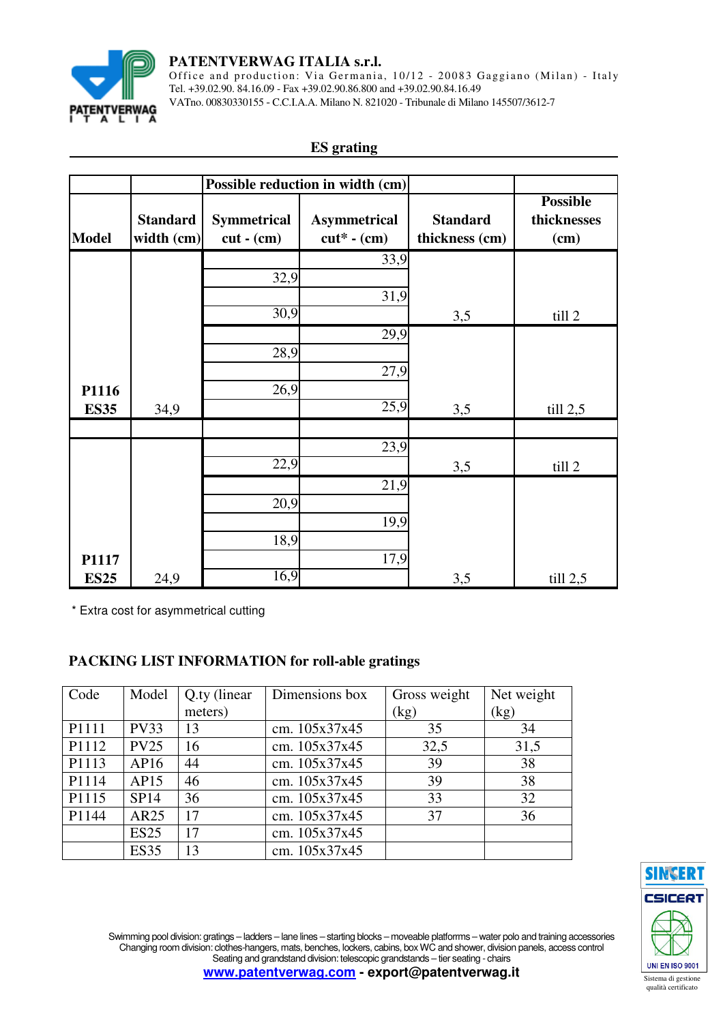

#### **PATENTVERWAG ITALIA s.r.l.**

Office and production: Via Germania, 10/12 - 20083 Gaggiano (Milan) - Italy Tel. +39.02.90. 84.16.09 - Fax +39.02.90.86.800 and +39.02.90.84.16.49 VATno. 00830330155 - C.C.I.A.A. Milano N. 821020 - Tribunale di Milano 145507/3612-7

### **ES grating**

|              |                 |                    | Possible reduction in width (cm) |                 |                 |
|--------------|-----------------|--------------------|----------------------------------|-----------------|-----------------|
|              |                 |                    |                                  |                 | <b>Possible</b> |
|              | <b>Standard</b> | <b>Symmetrical</b> | <b>Asymmetrical</b>              | <b>Standard</b> | thicknesses     |
| <b>Model</b> | width (cm)      | $cut - (cm)$       | $cut^*$ - $(cm)$                 | thickness (cm)  | $(cm)$          |
|              |                 |                    | 33,9                             |                 |                 |
|              |                 | 32,9               |                                  |                 |                 |
|              |                 |                    | 31,9                             |                 |                 |
|              |                 | 30,9               |                                  | 3,5             | till 2          |
|              |                 |                    | 29,9                             |                 |                 |
|              |                 | 28,9               |                                  |                 |                 |
|              |                 |                    | 27,9                             |                 |                 |
| P1116        |                 | 26,9               |                                  |                 |                 |
| <b>ES35</b>  | 34,9            |                    | 25,9                             | 3,5             | till 2,5        |
|              |                 |                    |                                  |                 |                 |
|              |                 |                    | 23,9                             |                 |                 |
|              |                 | 22,9               |                                  | 3,5             | till 2          |
|              |                 |                    | 21,9                             |                 |                 |
|              |                 | 20,9               |                                  |                 |                 |
|              |                 |                    | 19,9                             |                 |                 |
|              |                 | 18,9               |                                  |                 |                 |
| P1117        |                 |                    | 17,9                             |                 |                 |
| <b>ES25</b>  | 24,9            | 16,9               |                                  | 3,5             | till 2,5        |

\* Extra cost for asymmetrical cutting

# **PACKING LIST INFORMATION for roll-able gratings**

| Code  | Model       | Q.ty (linear) | Dimensions box | Gross weight | Net weight |
|-------|-------------|---------------|----------------|--------------|------------|
|       |             | meters)       |                | (kg)         | (kg)       |
| P1111 | <b>PV33</b> | 13            | cm. 105x37x45  | 35           | 34         |
| P1112 | <b>PV25</b> | 16            | cm. 105x37x45  | 32,5         | 31,5       |
| P1113 | AP16        | 44            | cm. 105x37x45  | 39           | 38         |
| P1114 | AP15        | 46            | cm. 105x37x45  | 39           | 38         |
| P1115 | <b>SP14</b> | 36            | cm. 105x37x45  | 33           | 32         |
| P1144 | AR25        | 17            | cm. 105x37x45  | 37           | 36         |
|       | <b>ES25</b> | 17            | cm. 105x37x45  |              |            |
|       | <b>ES35</b> | 13            | cm. 105x37x45  |              |            |



Swimming pool division: gratings – ladders – lane lines – starting blocks – moveable platforrms – water polo and training accessories Changing room division: clothes-hangers, mats, benches, lockers, cabins, box WC and shower, division panels, access control Seating and grandstand division: telescopic grandstands – tier seating - chairs